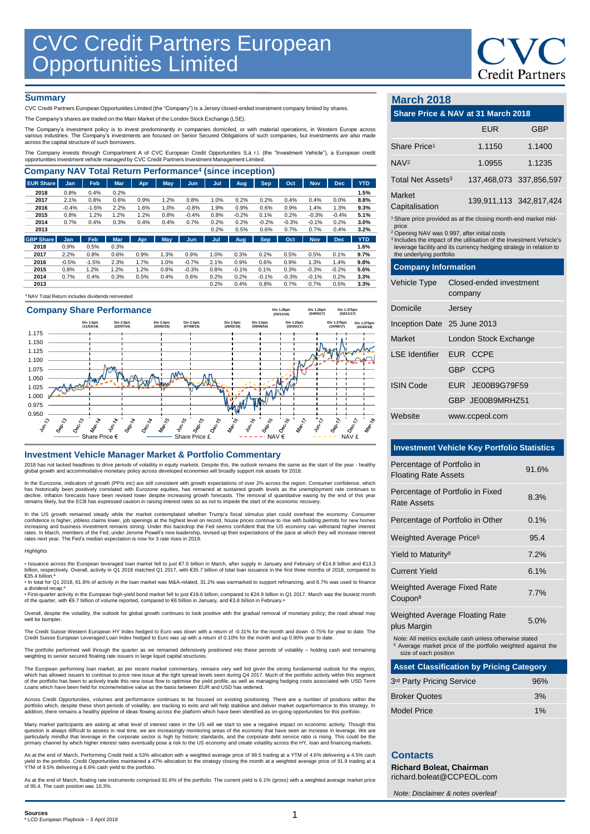

## **Summary**

CVC Credit Partners European Opportunities Limited (the "Company") is a Jersey closed-ended investment company limited by shares.

The Company's shares are traded on the Main Market of the London Stock Exchange (LSE).

The Company's investment policy is to invest predominantly in companies domiciled, or with material operations, in Western Europe across<br>various industries. The Company's investments are focused on Senior Secured Obligatio

The Company invests through Compartment A of CVC European Credit Opportunities S.à r.l. (the "Investment Vehicle"), a European credit<br>opportunities investment vehicle managed by CVC Credit Partners Investment Management Li

| <b>Company NAV Total Return Performance<sup>4</sup> (since inception)</b> |            |         |            |            |      |            |      |         |            |         |            |            |            |
|---------------------------------------------------------------------------|------------|---------|------------|------------|------|------------|------|---------|------------|---------|------------|------------|------------|
| <b>EUR Share</b>                                                          | <b>Jan</b> | Feb     | <b>Mar</b> | <b>Apr</b> | May  | Jun        | Jul  | Aug     | Sep        | Oct     | <b>Nov</b> | <b>Dec</b> | <b>YTD</b> |
| 2018                                                                      | 0.8%       | 0.4%    | 0.2%       |            |      |            |      |         |            |         |            |            | 1.5%       |
| 2017                                                                      | 2.1%       | 0.8%    | 0.6%       | 0.9%       | 1.2% | 0.8%       | 1.0% | 0.2%    | 0.2%       | 0.4%    | 0.4%       | 0.0%       | 8.8%       |
| 2016                                                                      | $-0.4%$    | $-1.6%$ | 2.2%       | 1.6%       | 1.0% | $-0.8%$    | 1.9% | 0.9%    | 0.6%       | 0.9%    | 1.4%       | 1.3%       | 9.3%       |
| 2015                                                                      | 0.8%       | 1.2%    | 1.2%       | 1.2%       | 0.8% | $-0.4%$    | 0.8% | $-0.2%$ | 0.1%       | 0.2%    | $-0.3%$    | $-0.4%$    | 5.1%       |
| 2014                                                                      | 0.7%       | 0.4%    | 0.3%       | 0.4%       | 0.4% | 0.7%       | 0.2% | 0.2%    | $-0.2%$    | $-0.3%$ | $-0.1%$    | 0.2%       | 3.0%       |
| 2013                                                                      |            |         |            |            |      |            | 0.2% | 0.5%    | 0.6%       | 0.7%    | 0.7%       | 0.4%       | 3.2%       |
| <b>GBP Share</b>                                                          | <b>Jan</b> | Feb     | <b>Mar</b> | <b>Apr</b> | May  | <b>Jun</b> | Jul  | Aug     | <b>Sep</b> | Oct     | <b>Nov</b> | <b>Dec</b> | <b>YTD</b> |
| 2018                                                                      | 0.9%       | 0.5%    | 0.3%       |            |      |            |      |         |            |         |            |            | 1.6%       |
| 2017                                                                      | 2.2%       | 0.8%    | 0.6%       | 0.9%       | 1.3% | 0.9%       | 1.0% | 0.3%    | 0.2%       | 0.5%    | 0.5%       | 0.1%       | 9.7%       |
| 2016                                                                      | $-0.5%$    | $-1.5%$ | 2.3%       | 1.7%       | 1.0% | $-0.7%$    | 2.1% | 0.9%    | 0.6%       | 0.9%    | 1.3%       | 1.4%       | 9.8%       |
| 2015                                                                      | 0.8%       | 1.2%    | 1.2%       | 1.2%       | 0.8% | $-0.3%$    | 0.8% | $-0.1%$ | 0.1%       | 0.3%    | $-0.3%$    | $-0.2%$    | 5.6%       |
| 2014                                                                      | 0.7%       | 0.4%    | 0.3%       | 0.5%       | 0.4% | 0.6%       | 0.2% | 0.2%    | $-0.1%$    | $-0.3%$ | $-0.1%$    | 0.2%       | 3.3%       |
| 2013                                                                      |            |         |            |            |      |            | 0.2% | 0.4%    | 0.8%       | 0.7%    | 0.7%       | 0.5%       | 3.3%       |
|                                                                           |            |         |            |            |      |            |      |         |            |         |            |            |            |

<sup>4</sup>NAV Total Return includes dividends reinvested



#### **Investment Vehicle Manager Market & Portfolio Commentary**

2018 has not lacked headlines to drive periods of volatility in equity markets. Despite this, the outlook remains the same as the start of the year - healthy global growth and accommodative monetary policy across developed economies will broadly support risk assets for 2018.

In the Eurozone, indicators of growth (PPIs etc) are still consistent with growth expectations of over 2% across the region. Consumer confidence, which<br>has historically been positively correlated with Eurozone equities, ha

In the US growth remained steady while the market contemplated whether Trump's fiscal stimulus plan could overheat the economy. Consumer<br>confidence is higher, jobless claims lower, job openings at the highest level on reco increasing and business investment remains strong. Under this backdrop the Fed seems confident that the US economy can withstand higher interest<br>rates. In March, members of the Fed, under Jerome Powell's new leadership, re rates next year. The Fed's median expectation is now for 3 rate rises in 2019.

#### *Highlights*

• Issuance across the European leveraged Ioan market fell to just €7.6 billion in March, after supply in January and February of €14.8 billion and €13.3<br>billion, respectively. Overall, activity in Q1 2018 matched Q1 2017, €35.4 billion.

€35.4 billion.ª<br>• In total for Q1 2018, 61.8% of activity in the loan market was M&A-related, 31.2% was earmarked to support refinancing, and 6.7% was used to finance

a dividend recap.ª<br>• First-quarter activity in the European high-yield bond market fell to just €19.6 billion, compared to €24.9 billion in Q1 2017. March was the busiest month<br>of the quarter, with €9.7 billion of volume

Overall, despite the volatility, the outlook for global growth continues to look positive with the gradual removal of monetary policy; the road ahead may well be bumpier

The Credit Suisse Western European HY Index hedged to Euro was down with a return of -0.31% for the month and down -0.75% for year to date. The<br>Credit Suisse European Leveraged Loan Index hedged to Euro was up with a retur

The portfolio performed well through the quarter as we remained defensively positioned into these periods of volatility – holding cash and remaining<br>weighting to senior secured floating rate issuers in large liquid capital

The European performing loan market, as per recent market commentary, remains very well bid given the strong fundamental outlook for the region,<br>which has allowed issuers to continue to price new issue at the tight spread

Across Credit Opportunities, volumes and performance continues to be focused on existing positioning. There are a number of positions within the<br>portfolio which, despite these short periods of volatility, are tracking to e

Many market participants are asking at what level of interest rates in the US will we start to see a negative impact on economic activity. Though this<br>question is always difficult to assess in real time, we are increasingl

As at the end of March, Performing Credit held a 53% allocation with a weighted average price of 99.5 trading at a YTM of 4.6% delivering a 4.5% cash yield to the portfolio. Credit Opportunities maintained a 47% allocation to the strategy closing the month at a weighted average price of 91.9 trading at a YTM of 9.5% delivering a 6.6% cash yield to the portfolio.

As at the end of March, floating rate instruments comprised 91.6% of the portfolio. The current yield is 6.1% (gross) with a weighted average market price of 95.4. The cash position was 10.3%.

# **March 2018**

# **Share Price & NAV at 31 March 2018** EUR GBP Share Price<sup>1</sup> 1.1150 1.1400 NAV<sup>2</sup> 1.0955 1.1235 Total Net Assets<sup>3</sup> 137,468,073 337,856,597 Market Indiver<br>Capitalisation 139,911,113 342,817,424 **Company Information** Vehicle Type Closed-ended investment company Domicile Jersey Inception Date 25 June 2013 1 Share price provided as at the closing month-end market midprice <sup>2</sup> Opening NAV was 0.997, after initial costs <sup>3</sup> Includes the impact of the utilisation of the Investment Vehicle's leverage facility and its currency hedging strategy in relation to the underlying portfolio

| Market                  | London Stock Exchange |  |  |
|-------------------------|-----------------------|--|--|
| LSE Identifier EUR CCPE |                       |  |  |
|                         | GBP CCPG              |  |  |
| <b>ISIN Code</b>        | EUR JE00B9G79F59      |  |  |
|                         | GBP JE00B9MRHZ51      |  |  |
| Website                 | www.ccpeol.com        |  |  |

## **Investment Vehicle Key Portfolio Statistics**

| Percentage of Portfolio in<br><b>Floating Rate Assets</b> | 91.6% |
|-----------------------------------------------------------|-------|
| Percentage of Portfolio in Fixed<br>Rate Assets           | 8.3%  |
| Percentage of Portfolio in Other                          | 0.1%  |
| Weighted Average Price <sup>5</sup>                       | 95.4  |
| Yield to Maturity <sup>8</sup>                            | 7.2%  |
| <b>Current Yield</b>                                      | 6.1%  |
| <b>Weighted Average Fixed Rate</b><br>Coupon <sup>8</sup> | 7.7%  |
| <b>Weighted Average Floating Rate</b>                     | 5.0%  |

plus Margin 5.0%

Note: All metrics exclude cash unless otherwise stated

<sup>5</sup> Average market price of the portfolio weighted against the size of each position

| <b>Asset Classification by Pricing Category</b> |  |
|-------------------------------------------------|--|
|-------------------------------------------------|--|

| 3rd Party Pricing Service | 96% |
|---------------------------|-----|
| <b>Broker Quotes</b>      | 3%  |
| Model Price               | 1%  |

# **Contacts**

**Richard Boleat, Chairman**  richard.boleat@CCPEOL.com

*Note: Disclaimer & notes overleaf*